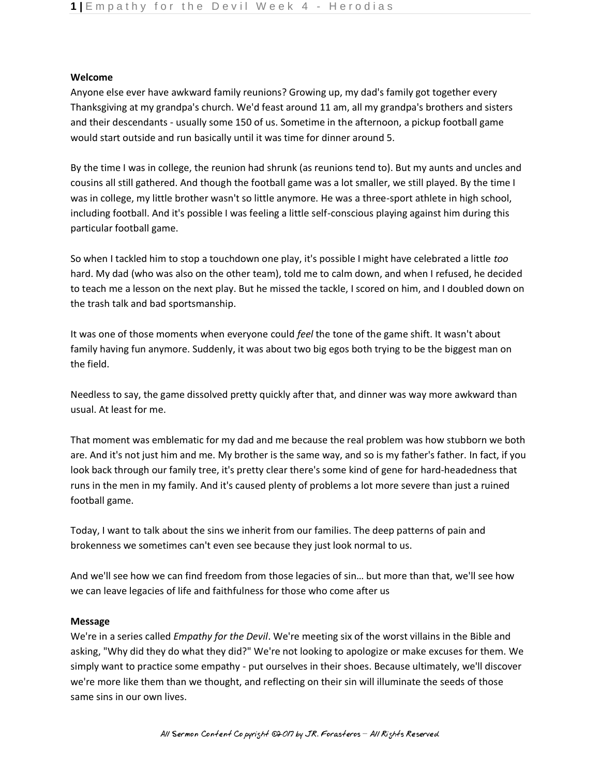## **Welcome**

Anyone else ever have awkward family reunions? Growing up, my dad's family got together every Thanksgiving at my grandpa's church. We'd feast around 11 am, all my grandpa's brothers and sisters and their descendants - usually some 150 of us. Sometime in the afternoon, a pickup football game would start outside and run basically until it was time for dinner around 5.

By the time I was in college, the reunion had shrunk (as reunions tend to). But my aunts and uncles and cousins all still gathered. And though the football game was a lot smaller, we still played. By the time I was in college, my little brother wasn't so little anymore. He was a three-sport athlete in high school, including football. And it's possible I was feeling a little self-conscious playing against him during this particular football game.

So when I tackled him to stop a touchdown one play, it's possible I might have celebrated a little *too*  hard. My dad (who was also on the other team), told me to calm down, and when I refused, he decided to teach me a lesson on the next play. But he missed the tackle, I scored on him, and I doubled down on the trash talk and bad sportsmanship.

It was one of those moments when everyone could *feel* the tone of the game shift. It wasn't about family having fun anymore. Suddenly, it was about two big egos both trying to be the biggest man on the field.

Needless to say, the game dissolved pretty quickly after that, and dinner was way more awkward than usual. At least for me.

That moment was emblematic for my dad and me because the real problem was how stubborn we both are. And it's not just him and me. My brother is the same way, and so is my father's father. In fact, if you look back through our family tree, it's pretty clear there's some kind of gene for hard-headedness that runs in the men in my family. And it's caused plenty of problems a lot more severe than just a ruined football game.

Today, I want to talk about the sins we inherit from our families. The deep patterns of pain and brokenness we sometimes can't even see because they just look normal to us.

And we'll see how we can find freedom from those legacies of sin… but more than that, we'll see how we can leave legacies of life and faithfulness for those who come after us

## **Message**

We're in a series called *Empathy for the Devil*. We're meeting six of the worst villains in the Bible and asking, "Why did they do what they did?" We're not looking to apologize or make excuses for them. We simply want to practice some empathy - put ourselves in their shoes. Because ultimately, we'll discover we're more like them than we thought, and reflecting on their sin will illuminate the seeds of those same sins in our own lives.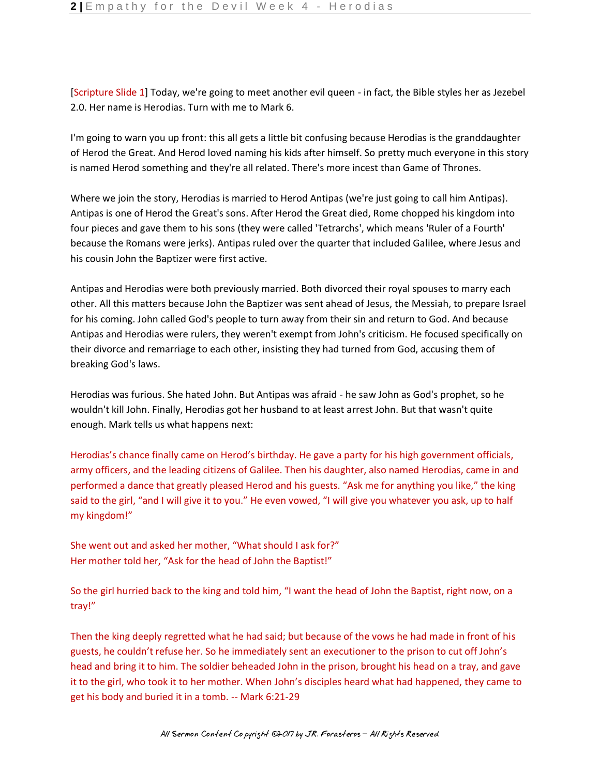[Scripture Slide 1] Today, we're going to meet another evil queen - in fact, the Bible styles her as Jezebel 2.0. Her name is Herodias. Turn with me to Mark 6.

I'm going to warn you up front: this all gets a little bit confusing because Herodias is the granddaughter of Herod the Great. And Herod loved naming his kids after himself. So pretty much everyone in this story is named Herod something and they're all related. There's more incest than Game of Thrones.

Where we join the story, Herodias is married to Herod Antipas (we're just going to call him Antipas). Antipas is one of Herod the Great's sons. After Herod the Great died, Rome chopped his kingdom into four pieces and gave them to his sons (they were called 'Tetrarchs', which means 'Ruler of a Fourth' because the Romans were jerks). Antipas ruled over the quarter that included Galilee, where Jesus and his cousin John the Baptizer were first active.

Antipas and Herodias were both previously married. Both divorced their royal spouses to marry each other. All this matters because John the Baptizer was sent ahead of Jesus, the Messiah, to prepare Israel for his coming. John called God's people to turn away from their sin and return to God. And because Antipas and Herodias were rulers, they weren't exempt from John's criticism. He focused specifically on their divorce and remarriage to each other, insisting they had turned from God, accusing them of breaking God's laws.

Herodias was furious. She hated John. But Antipas was afraid - he saw John as God's prophet, so he wouldn't kill John. Finally, Herodias got her husband to at least arrest John. But that wasn't quite enough. Mark tells us what happens next:

Herodias's chance finally came on Herod's birthday. He gave a party for his high government officials, army officers, and the leading citizens of Galilee. Then his daughter, also named Herodias, came in and performed a dance that greatly pleased Herod and his guests. "Ask me for anything you like," the king said to the girl, "and I will give it to you." He even vowed, "I will give you whatever you ask, up to half my kingdom!"

She went out and asked her mother, "What should I ask for?" Her mother told her, "Ask for the head of John the Baptist!"

So the girl hurried back to the king and told him, "I want the head of John the Baptist, right now, on a tray!"

Then the king deeply regretted what he had said; but because of the vows he had made in front of his guests, he couldn't refuse her. So he immediately sent an executioner to the prison to cut off John's head and bring it to him. The soldier beheaded John in the prison, brought his head on a tray, and gave it to the girl, who took it to her mother. When John's disciples heard what had happened, they came to get his body and buried it in a tomb. -- Mark 6:21-29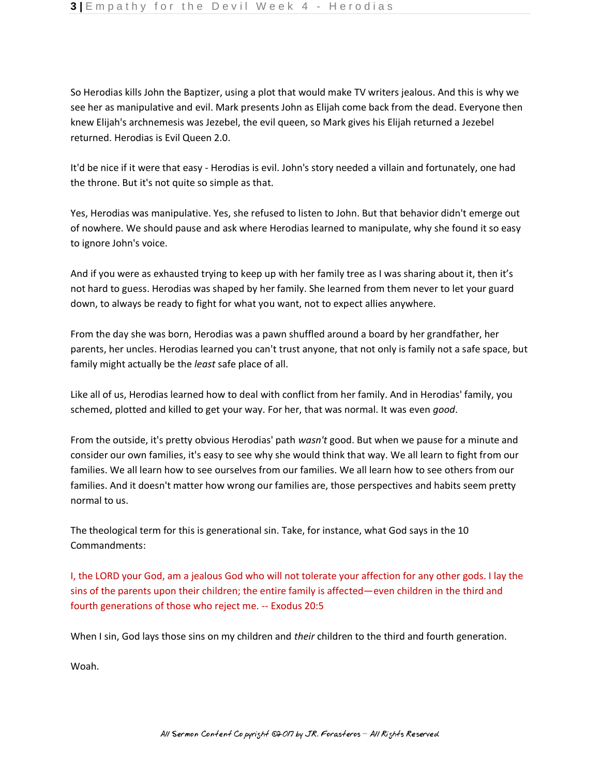So Herodias kills John the Baptizer, using a plot that would make TV writers jealous. And this is why we see her as manipulative and evil. Mark presents John as Elijah come back from the dead. Everyone then knew Elijah's archnemesis was Jezebel, the evil queen, so Mark gives his Elijah returned a Jezebel returned. Herodias is Evil Queen 2.0.

It'd be nice if it were that easy - Herodias is evil. John's story needed a villain and fortunately, one had the throne. But it's not quite so simple as that.

Yes, Herodias was manipulative. Yes, she refused to listen to John. But that behavior didn't emerge out of nowhere. We should pause and ask where Herodias learned to manipulate, why she found it so easy to ignore John's voice.

And if you were as exhausted trying to keep up with her family tree as I was sharing about it, then it's not hard to guess. Herodias was shaped by her family. She learned from them never to let your guard down, to always be ready to fight for what you want, not to expect allies anywhere.

From the day she was born, Herodias was a pawn shuffled around a board by her grandfather, her parents, her uncles. Herodias learned you can't trust anyone, that not only is family not a safe space, but family might actually be the *least* safe place of all.

Like all of us, Herodias learned how to deal with conflict from her family. And in Herodias' family, you schemed, plotted and killed to get your way. For her, that was normal. It was even *good*.

From the outside, it's pretty obvious Herodias' path *wasn't* good. But when we pause for a minute and consider our own families, it's easy to see why she would think that way. We all learn to fight from our families. We all learn how to see ourselves from our families. We all learn how to see others from our families. And it doesn't matter how wrong our families are, those perspectives and habits seem pretty normal to us.

The theological term for this is generational sin. Take, for instance, what God says in the 10 Commandments:

I, the LORD your God, am a jealous God who will not tolerate your affection for any other gods. I lay the sins of the parents upon their children; the entire family is affected—even children in the third and fourth generations of those who reject me. -- Exodus 20:5

When I sin, God lays those sins on my children and *their* children to the third and fourth generation.

Woah.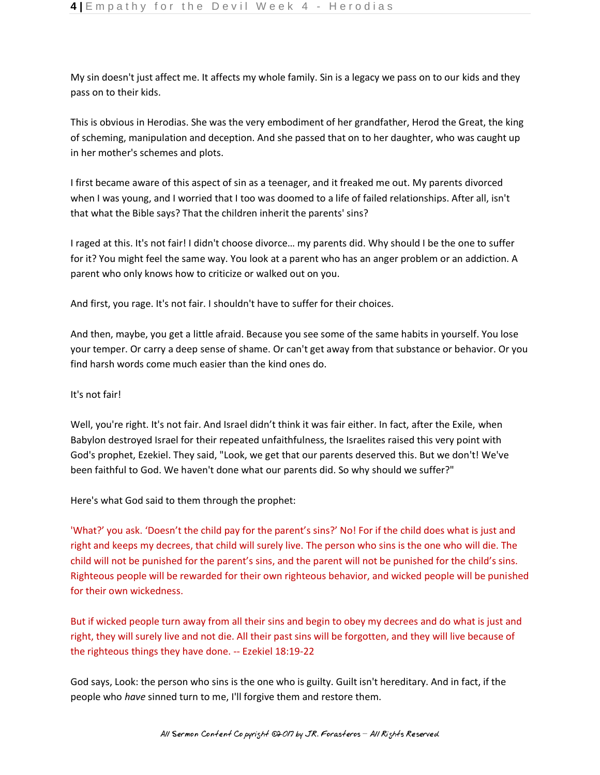My sin doesn't just affect me. It affects my whole family. Sin is a legacy we pass on to our kids and they pass on to their kids.

This is obvious in Herodias. She was the very embodiment of her grandfather, Herod the Great, the king of scheming, manipulation and deception. And she passed that on to her daughter, who was caught up in her mother's schemes and plots.

I first became aware of this aspect of sin as a teenager, and it freaked me out. My parents divorced when I was young, and I worried that I too was doomed to a life of failed relationships. After all, isn't that what the Bible says? That the children inherit the parents' sins?

I raged at this. It's not fair! I didn't choose divorce… my parents did. Why should I be the one to suffer for it? You might feel the same way. You look at a parent who has an anger problem or an addiction. A parent who only knows how to criticize or walked out on you.

And first, you rage. It's not fair. I shouldn't have to suffer for their choices.

And then, maybe, you get a little afraid. Because you see some of the same habits in yourself. You lose your temper. Or carry a deep sense of shame. Or can't get away from that substance or behavior. Or you find harsh words come much easier than the kind ones do.

It's not fair!

Well, you're right. It's not fair. And Israel didn't think it was fair either. In fact, after the Exile, when Babylon destroyed Israel for their repeated unfaithfulness, the Israelites raised this very point with God's prophet, Ezekiel. They said, "Look, we get that our parents deserved this. But we don't! We've been faithful to God. We haven't done what our parents did. So why should we suffer?"

Here's what God said to them through the prophet:

'What?' you ask. 'Doesn't the child pay for the parent's sins?' No! For if the child does what is just and right and keeps my decrees, that child will surely live. The person who sins is the one who will die. The child will not be punished for the parent's sins, and the parent will not be punished for the child's sins. Righteous people will be rewarded for their own righteous behavior, and wicked people will be punished for their own wickedness.

But if wicked people turn away from all their sins and begin to obey my decrees and do what is just and right, they will surely live and not die. All their past sins will be forgotten, and they will live because of the righteous things they have done. -- Ezekiel 18:19-22

God says, Look: the person who sins is the one who is guilty. Guilt isn't hereditary. And in fact, if the people who *have* sinned turn to me, I'll forgive them and restore them.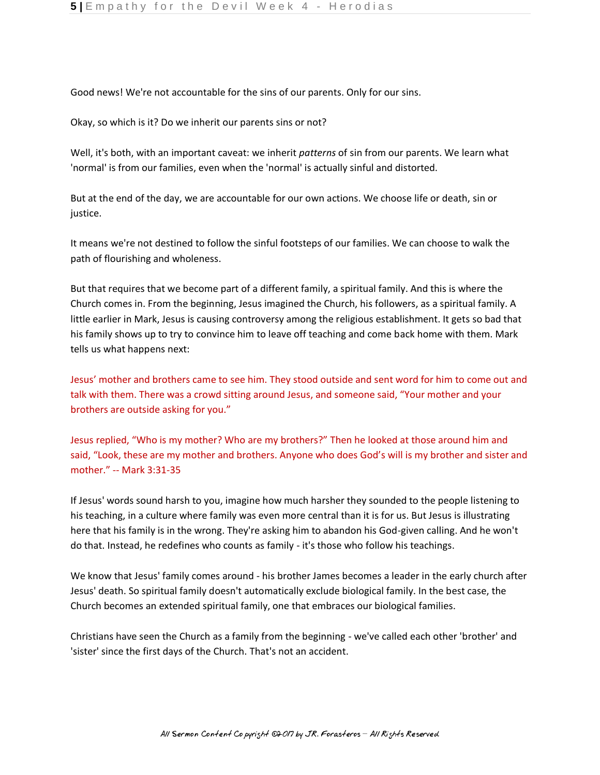Good news! We're not accountable for the sins of our parents. Only for our sins.

Okay, so which is it? Do we inherit our parents sins or not?

Well, it's both, with an important caveat: we inherit *patterns* of sin from our parents. We learn what 'normal' is from our families, even when the 'normal' is actually sinful and distorted.

But at the end of the day, we are accountable for our own actions. We choose life or death, sin or justice.

It means we're not destined to follow the sinful footsteps of our families. We can choose to walk the path of flourishing and wholeness.

But that requires that we become part of a different family, a spiritual family. And this is where the Church comes in. From the beginning, Jesus imagined the Church, his followers, as a spiritual family. A little earlier in Mark, Jesus is causing controversy among the religious establishment. It gets so bad that his family shows up to try to convince him to leave off teaching and come back home with them. Mark tells us what happens next:

Jesus' mother and brothers came to see him. They stood outside and sent word for him to come out and talk with them. There was a crowd sitting around Jesus, and someone said, "Your mother and your brothers are outside asking for you."

Jesus replied, "Who is my mother? Who are my brothers?" Then he looked at those around him and said, "Look, these are my mother and brothers. Anyone who does God's will is my brother and sister and mother." -- Mark 3:31-35

If Jesus' words sound harsh to you, imagine how much harsher they sounded to the people listening to his teaching, in a culture where family was even more central than it is for us. But Jesus is illustrating here that his family is in the wrong. They're asking him to abandon his God-given calling. And he won't do that. Instead, he redefines who counts as family - it's those who follow his teachings.

We know that Jesus' family comes around - his brother James becomes a leader in the early church after Jesus' death. So spiritual family doesn't automatically exclude biological family. In the best case, the Church becomes an extended spiritual family, one that embraces our biological families.

Christians have seen the Church as a family from the beginning - we've called each other 'brother' and 'sister' since the first days of the Church. That's not an accident.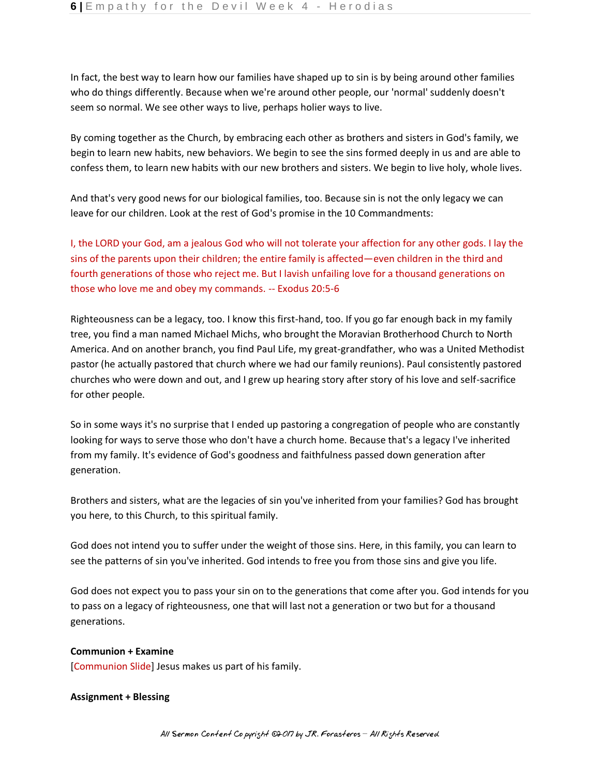In fact, the best way to learn how our families have shaped up to sin is by being around other families who do things differently. Because when we're around other people, our 'normal' suddenly doesn't seem so normal. We see other ways to live, perhaps holier ways to live.

By coming together as the Church, by embracing each other as brothers and sisters in God's family, we begin to learn new habits, new behaviors. We begin to see the sins formed deeply in us and are able to confess them, to learn new habits with our new brothers and sisters. We begin to live holy, whole lives.

And that's very good news for our biological families, too. Because sin is not the only legacy we can leave for our children. Look at the rest of God's promise in the 10 Commandments:

I, the LORD your God, am a jealous God who will not tolerate your affection for any other gods. I lay the sins of the parents upon their children; the entire family is affected—even children in the third and fourth generations of those who reject me. But I lavish unfailing love for a thousand generations on those who love me and obey my commands. -- Exodus 20:5-6

Righteousness can be a legacy, too. I know this first-hand, too. If you go far enough back in my family tree, you find a man named Michael Michs, who brought the Moravian Brotherhood Church to North America. And on another branch, you find Paul Life, my great-grandfather, who was a United Methodist pastor (he actually pastored that church where we had our family reunions). Paul consistently pastored churches who were down and out, and I grew up hearing story after story of his love and self-sacrifice for other people.

So in some ways it's no surprise that I ended up pastoring a congregation of people who are constantly looking for ways to serve those who don't have a church home. Because that's a legacy I've inherited from my family. It's evidence of God's goodness and faithfulness passed down generation after generation.

Brothers and sisters, what are the legacies of sin you've inherited from your families? God has brought you here, to this Church, to this spiritual family.

God does not intend you to suffer under the weight of those sins. Here, in this family, you can learn to see the patterns of sin you've inherited. God intends to free you from those sins and give you life.

God does not expect you to pass your sin on to the generations that come after you. God intends for you to pass on a legacy of righteousness, one that will last not a generation or two but for a thousand generations.

## **Communion + Examine**

[Communion Slide] Jesus makes us part of his family.

## **Assignment + Blessing**